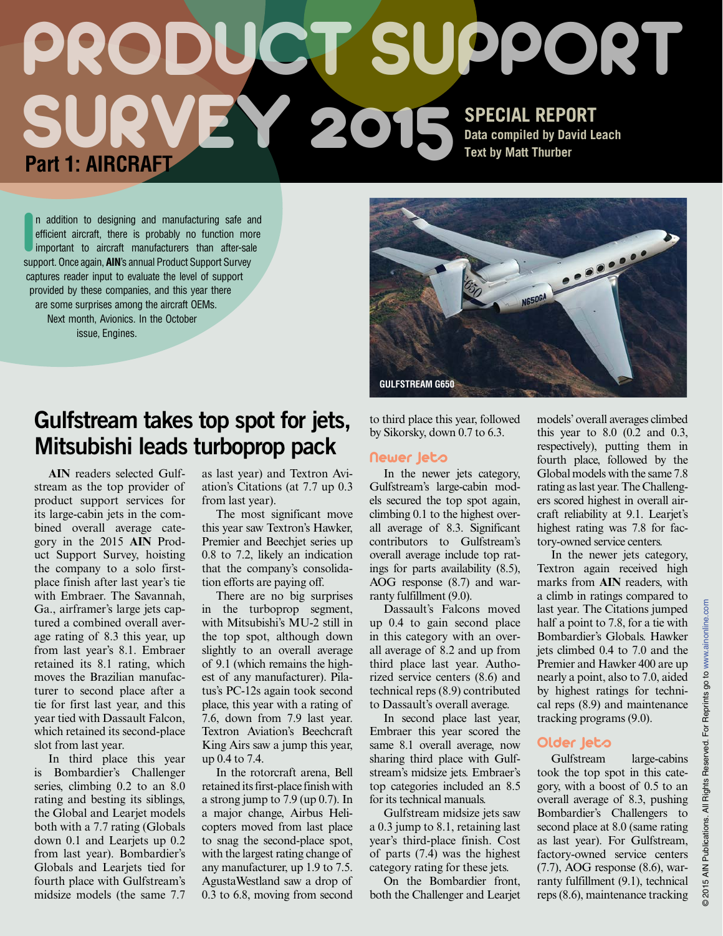### PRODUCT SUPPORT SURVEY 2015 **SPECIAL REPORT Data compiled by David Leach Text by Matt Thurber Part 1: AIRCRAFT**

n addition to designing and manufacturing safe and efficient aircraft, there is probably no function mo important to aircraft manufacturers than after-sal support. Once again, **AIN**'s annual Product Support Survey n addition to designing and manufacturing safe and efficient aircraft, there is probably no function more important to aircraft manufacturers than after-sale captures reader input to evaluate the level of support provided by these companies, and this year there are some surprises among the aircraft OEMs. Next month, Avionics. In the October issue, Engines.

### Gulfstream takes top spot for jets, Mitsubishi leads turboprop pack

**AIN** readers selected Gulfstream as the top provider of product support services for its large-cabin jets in the combined overall average category in the 2015 **AIN** Product Support Survey, hoisting the company to a solo firstplace finish after last year's tie with Embraer. The Savannah, Ga., airframer's large jets captured a combined overall average rating of 8.3 this year, up from last year's 8.1. Embraer retained its 8.1 rating, which moves the Brazilian manufacturer to second place after a tie for first last year, and this year tied with Dassault Falcon, which retained its second-place slot from last year.

In third place this year is Bombardier's Challenger series, climbing 0.2 to an 8.0 rating and besting its siblings, the Global and Learjet models both with a 7.7 rating (Globals down 0.1 and Learjets up 0.2 from last year). Bombardier's Globals and Learjets tied for fourth place with Gulfstream's midsize models (the same 7.7

as last year) and Textron Aviation's Citations (at 7.7 up 0.3 from last year).

The most significant move this year saw Textron's Hawker, Premier and Beechjet series up 0.8 to 7.2, likely an indication that the company's consolidation efforts are paying off.

There are no big surprises in the turboprop segment, with Mitsubishi's MU-2 still in the top spot, although down slightly to an overall average of 9.1 (which remains the highest of any manufacturer). Pilatus's PC-12s again took second place, this year with a rating of 7.6, down from 7.9 last year. Textron Aviation's Beechcraft King Airs saw a jump this year, up 0.4 to 7.4.

In the rotorcraft arena, Bell retained its first-place finish with a strong jump to 7.9 (up 0.7). In a major change, Airbus Helicopters moved from last place to snag the second-place spot, with the largest rating change of any manufacturer, up 1.9 to 7.5. AgustaWestland saw a drop of 0.3 to 6.8, moving from second

to third place this year, followed by Sikorsky, down 0.7 to 6.3.

### **Newer Jeto**

In the newer jets category, Gulfstream's large-cabin models secured the top spot again, climbing 0.1 to the highest overall average of 8.3. Significant contributors to Gulfstream's overall average include top ratings for parts availability (8.5), AOG response (8.7) and warranty fulfillment (9.0).

Dassault's Falcons moved up 0.4 to gain second place in this category with an overall average of 8.2 and up from third place last year. Authorized service centers (8.6) and technical reps (8.9) contributed to Dassault's overall average.

In second place last year, Embraer this year scored the same 8.1 overall average, now sharing third place with Gulfstream's midsize jets. Embraer's top categories included an 8.5 for its technical manuals.

Gulfstream midsize jets saw a 0.3 jump to 8.1, retaining last year's third-place finish. Cost of parts (7.4) was the highest category rating for these jets.

On the Bombardier front, both the Challenger and Learjet models' overall averages climbed this year to 8.0 (0.2 and 0.3, respectively), putting them in fourth place, followed by the Global models with the same 7.8 rating as last year. The Challengers scored highest in overall aircraft reliability at 9.1. Learjet's highest rating was 7.8 for factory-owned service centers.

In the newer jets category, Textron again received high marks from **AIN** readers, with a climb in ratings compared to last year. The Citations jumped half a point to 7.8, for a tie with Bombardier's Globals. Hawker jets climbed 0.4 to 7.0 and the Premier and Hawker 400 are up nearly a point, also to 7.0, aided by highest ratings for technical reps (8.9) and maintenance tracking programs (9.0).

### Older Jeto

Gulfstream large-cabins took the top spot in this category, with a boost of 0.5 to an overall average of 8.3, pushing Bombardier's Challengers to second place at 8.0 (same rating as last year). For Gulfstream, factory-owned service centers (7.7), AOG response (8.6), warranty fulfillment (9.1), technical reps (8.6), maintenance tracking



© 2015 AIN Publications. All Rights Reserved. For Reprints go to <www.ainonline.com>go to For Reprints Publications. All Rights Reserved. 2015 AIN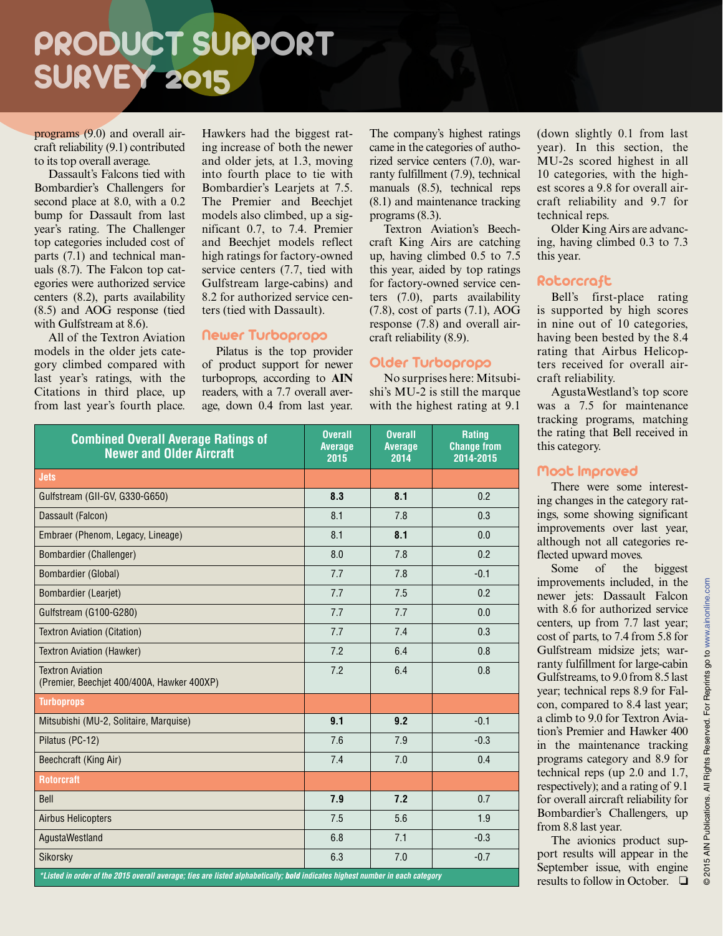programs (9.0) and overall aircraft reliability (9.1) contributed to its top overall average.

Dassault's Falcons tied with Bombardier's Challengers for second place at 8.0, with a 0.2 bump for Dassault from last year's rating. The Challenger top categories included cost of parts (7.1) and technical manuals (8.7). The Falcon top categories were authorized service centers (8.2), parts availability (8.5) and AOG response (tied with Gulfstream at 8.6).

All of the Textron Aviation models in the older jets category climbed compared with last year's ratings, with the Citations in third place, up from last year's fourth place.

Hawkers had the biggest rating increase of both the newer and older jets, at 1.3, moving into fourth place to tie with Bombardier's Learjets at 7.5. The Premier and Beechjet models also climbed, up a significant 0.7, to 7.4. Premier and Beechjet models reflect high ratings for factory-owned service centers (7.7, tied with Gulfstream large-cabins) and 8.2 for authorized service centers (tied with Dassault).

### Newer Turboprops

Pilatus is the top provider of product support for newer turboprops, according to **AIN** readers, with a 7.7 overall average, down 0.4 from last year. The company's highest ratings came in the categories of authorized service centers (7.0), warranty fulfillment (7.9), technical manuals (8.5), technical reps (8.1) and maintenance tracking programs (8.3).

Textron Aviation's Beechcraft King Airs are catching up, having climbed 0.5 to 7.5 this year, aided by top ratings for factory-owned service centers (7.0), parts availability (7.8), cost of parts (7.1), AOG response (7.8) and overall aircraft reliability (8.9).

### Older Turboprops

No surprises here: Mitsubishi's MU-2 is still the marque with the highest rating at 9.1

| <b>Combined Overall Average Ratings of</b><br><b>Newer and Older Aircraft</b>                                                            | <b>Overall</b><br><b>Average</b><br>2015 | <b>Overall</b><br><b>Average</b><br>2014 | Rating<br><b>Change from</b><br>2014-2015 |  |
|------------------------------------------------------------------------------------------------------------------------------------------|------------------------------------------|------------------------------------------|-------------------------------------------|--|
| <b>Jets</b>                                                                                                                              |                                          |                                          |                                           |  |
| Gulfstream (GII-GV, G330-G650)                                                                                                           | 8.3                                      | 8.1                                      | 0.2                                       |  |
| Dassault (Falcon)                                                                                                                        | 8.1                                      | 7.8                                      | 0.3                                       |  |
| Embraer (Phenom, Legacy, Lineage)                                                                                                        | 8.1                                      | 8.1                                      | 0.0                                       |  |
| Bombardier (Challenger)                                                                                                                  | 8.0                                      | 7.8                                      | 0.2                                       |  |
| Bombardier (Global)                                                                                                                      | 7.7                                      | 7.8                                      | $-0.1$                                    |  |
| Bombardier (Learjet)                                                                                                                     | 7.7                                      | 7.5                                      | 0.2                                       |  |
| Gulfstream (G100-G280)                                                                                                                   | 7.7                                      | 7.7                                      | 0.0                                       |  |
| <b>Textron Aviation (Citation)</b>                                                                                                       | 7.7                                      | 7.4                                      | 0.3                                       |  |
| <b>Textron Aviation (Hawker)</b>                                                                                                         | 7.2                                      | 6.4                                      | 0.8                                       |  |
| <b>Textron Aviation</b><br>(Premier, Beechjet 400/400A, Hawker 400XP)                                                                    | 7.2                                      | 6.4                                      | 0.8                                       |  |
| <b>Turboprops</b>                                                                                                                        |                                          |                                          |                                           |  |
| Mitsubishi (MU-2, Solitaire, Marquise)                                                                                                   | 9.1                                      | 9.2                                      | $-0.1$                                    |  |
| Pilatus (PC-12)                                                                                                                          | 7.6                                      | 7.9                                      | $-0.3$                                    |  |
| Beechcraft (King Air)                                                                                                                    | 7.4                                      | 7.0                                      | 0.4                                       |  |
| <b>Rotorcraft</b>                                                                                                                        |                                          |                                          |                                           |  |
| Bell                                                                                                                                     | 7.9                                      | 7.2                                      | 0.7                                       |  |
| <b>Airbus Helicopters</b>                                                                                                                | 7.5                                      | 5.6                                      | 1.9                                       |  |
| AgustaWestland                                                                                                                           | 6.8                                      | 7.1                                      | $-0.3$                                    |  |
| Sikorsky<br>*Listed in order of the 2015 overall average; ties are listed alphabetically; bold indicates highest number in each category | 6.3                                      | 7.0                                      | $-0.7$                                    |  |

(down slightly 0.1 from last year). In this section, the MU-2s scored highest in all 10 categories, with the highest scores a 9.8 for overall aircraft reliability and 9.7 for technical reps.

Older King Airs are advancing, having climbed 0.3 to 7.3 this year.

### Rotorcraft

Bell's first-place rating is supported by high scores in nine out of 10 categories, having been bested by the 8.4 rating that Airbus Helicopters received for overall aircraft reliability.

AgustaWestland's top score was a 7.5 for maintenance tracking programs, matching the rating that Bell received in this category.

### Most Improved

There were some interesting changes in the category ratings, some showing significant improvements over last year, although not all categories reflected upward moves.

Some of the biggest improvements included, in the newer jets: Dassault Falcon with 8.6 for authorized service centers, up from 7.7 last year; cost of parts, to 7.4 from 5.8 for Gulfstream midsize jets; warranty fulfillment for large-cabin Gulfstreams, to 9.0 from 8.5 last year; technical reps 8.9 for Falcon, compared to 8.4 last year; a climb to 9.0 for Textron Aviation's Premier and Hawker 400 in the maintenance tracking programs category and 8.9 for technical reps (up 2.0 and 1.7, respectively); and a rating of 9.1 for overall aircraft reliability for Bombardier's Challengers, up from 8.8 last year.

The avionics product support results will appear in the September issue, with engine results to follow in October.  $\Box$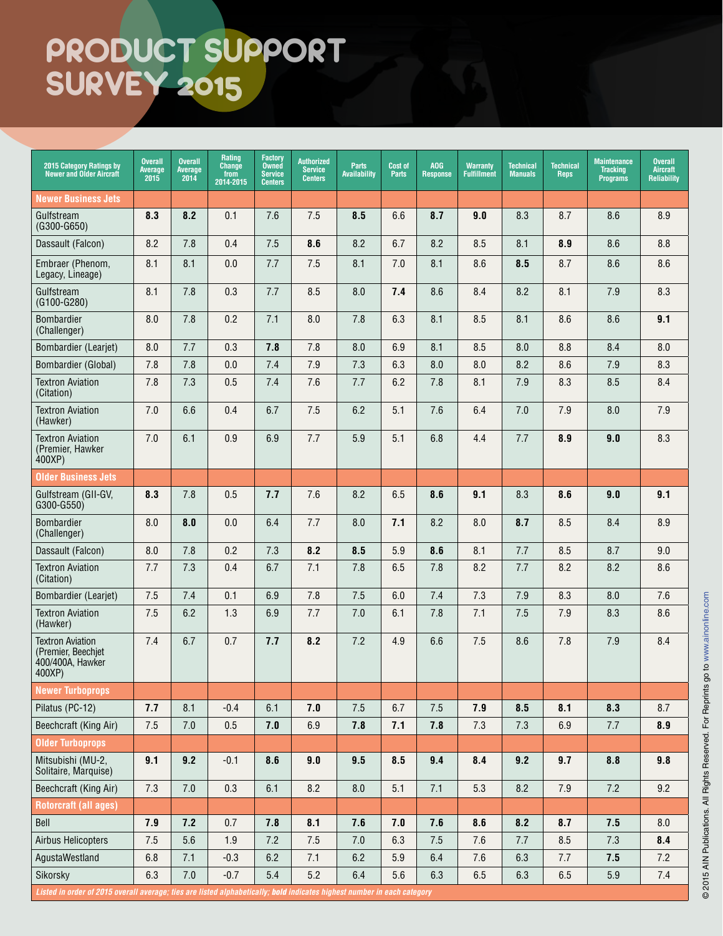| 2015 Category Ratings by<br>Newer and Older Aircraft                                                                    | <b>Overall</b><br><b>Average</b><br>2015 | <b>Overall</b><br>Average<br>2014 | Rating<br><b>Change</b><br>from<br>2014-2015 | <b>Factory</b><br><b>Owned</b><br><b>Service</b><br><b>Centers</b> | <b>Authorized</b><br><b>Service</b><br><b>Centers</b> | Parts<br>Availability | <b>Cost of</b><br><b>Parts</b> | AOG<br><b>Response</b> | <b>Warranty</b><br><b>Fulfillment</b> | <b>Technical</b><br><b>Manuals</b> | <b>Technical</b><br><b>Reps</b> | <b>Maintenance</b><br><b>Tracking</b><br><b>Programs</b> | <b>Overall</b><br><b>Aircraft</b><br><b>Reliability</b> |
|-------------------------------------------------------------------------------------------------------------------------|------------------------------------------|-----------------------------------|----------------------------------------------|--------------------------------------------------------------------|-------------------------------------------------------|-----------------------|--------------------------------|------------------------|---------------------------------------|------------------------------------|---------------------------------|----------------------------------------------------------|---------------------------------------------------------|
| <b>Newer Business Jets</b>                                                                                              |                                          |                                   |                                              |                                                                    |                                                       |                       |                                |                        |                                       |                                    |                                 |                                                          |                                                         |
| Gulfstream<br>$(G300-G650)$                                                                                             | 8.3                                      | 8.2                               | 0.1                                          | 7.6                                                                | 7.5                                                   | 8.5                   | 6.6                            | 8.7                    | 9.0                                   | 8.3                                | 8.7                             | 8.6                                                      | 8.9                                                     |
| Dassault (Falcon)                                                                                                       | 8.2                                      | 7.8                               | 0.4                                          | 7.5                                                                | 8.6                                                   | 8.2                   | 6.7                            | 8.2                    | 8.5                                   | 8.1                                | 8.9                             | 8.6                                                      | 8.8                                                     |
| Embraer (Phenom,<br>Legacy, Lineage)                                                                                    | 8.1                                      | 8.1                               | 0.0                                          | 7.7                                                                | 7.5                                                   | 8.1                   | 7.0                            | 8.1                    | 8.6                                   | 8.5                                | 8.7                             | 8.6                                                      | 8.6                                                     |
| Gulfstream<br>(G100-G280)                                                                                               | 8.1                                      | 7.8                               | 0.3                                          | 7.7                                                                | 8.5                                                   | 8.0                   | 7.4                            | 8.6                    | 8.4                                   | 8.2                                | 8.1                             | 7.9                                                      | 8.3                                                     |
| <b>Bombardier</b><br>(Challenger)                                                                                       | 8.0                                      | 7.8                               | 0.2                                          | 7.1                                                                | 8.0                                                   | 7.8                   | 6.3                            | 8.1                    | 8.5                                   | 8.1                                | 8.6                             | 8.6                                                      | 9.1                                                     |
| Bombardier (Learjet)                                                                                                    | 8.0                                      | 7.7                               | 0.3                                          | 7.8                                                                | 7.8                                                   | 8.0                   | 6.9                            | 8.1                    | 8.5                                   | 8.0                                | 8.8                             | 8.4                                                      | 8.0                                                     |
| Bombardier (Global)                                                                                                     | 7.8                                      | 7.8                               | 0.0                                          | 7.4                                                                | 7.9                                                   | 7.3                   | 6.3                            | 8.0                    | 8.0                                   | 8.2                                | 8.6                             | 7.9                                                      | 8.3                                                     |
| <b>Textron Aviation</b><br>(Citation)                                                                                   | 7.8                                      | 7.3                               | 0.5                                          | 7.4                                                                | 7.6                                                   | 7.7                   | 6.2                            | 7.8                    | 8.1                                   | 7.9                                | 8.3                             | 8.5                                                      | 8.4                                                     |
| <b>Textron Aviation</b><br>(Hawker)                                                                                     | 7.0                                      | 6.6                               | 0.4                                          | 6.7                                                                | 7.5                                                   | 6.2                   | 5.1                            | 7.6                    | 6.4                                   | 7.0                                | 7.9                             | 8.0                                                      | 7.9                                                     |
| <b>Textron Aviation</b><br>(Premier, Hawker<br>400XP)                                                                   | 7.0                                      | 6.1                               | 0.9                                          | 6.9                                                                | 7.7                                                   | 5.9                   | 5.1                            | 6.8                    | 4.4                                   | 7.7                                | 8.9                             | 9.0                                                      | 8.3                                                     |
| <b>Older Business Jets</b>                                                                                              |                                          |                                   |                                              |                                                                    |                                                       |                       |                                |                        |                                       |                                    |                                 |                                                          |                                                         |
| Gulfstream (GII-GV,<br>G300-G550)                                                                                       | 8.3                                      | 7.8                               | 0.5                                          | 7.7                                                                | 7.6                                                   | 8.2                   | 6.5                            | 8.6                    | 9.1                                   | 8.3                                | 8.6                             | 9.0                                                      | 9.1                                                     |
| <b>Bombardier</b><br>(Challenger)                                                                                       | 8.0                                      | 8.0                               | 0.0                                          | 6.4                                                                | 7.7                                                   | 8.0                   | 7.1                            | 8.2                    | 8.0                                   | 8.7                                | 8.5                             | 8.4                                                      | 8.9                                                     |
| Dassault (Falcon)                                                                                                       | 8.0                                      | 7.8                               | 0.2                                          | 7.3                                                                | 8.2                                                   | 8.5                   | 5.9                            | 8.6                    | 8.1                                   | 7.7                                | 8.5                             | 8.7                                                      | 9.0                                                     |
| <b>Textron Aviation</b><br>(Citation)                                                                                   | 7.7                                      | 7.3                               | 0.4                                          | 6.7                                                                | 7.1                                                   | 7.8                   | 6.5                            | 7.8                    | 8.2                                   | 7.7                                | 8.2                             | 8.2                                                      | 8.6                                                     |
| Bombardier (Learjet)                                                                                                    | 7.5                                      | 7.4                               | 0.1                                          | 6.9                                                                | 7.8                                                   | 7.5                   | 6.0                            | 7.4                    | 7.3                                   | 7.9                                | 8.3                             | 8.0                                                      | 7.6                                                     |
| <b>Textron Aviation</b><br>(Hawker)                                                                                     | 7.5                                      | 6.2                               | 1.3                                          | 6.9                                                                | 7.7                                                   | 7.0                   | 6.1                            | 7.8                    | 7.1                                   | 7.5                                | 7.9                             | 8.3                                                      | 8.6                                                     |
| <b>Textron Aviation</b><br>(Premier, Beechjet<br>400/400A, Hawker<br>400XP)                                             | 7.4                                      | 6.7                               | 0.7                                          | 7.7                                                                | 8.2                                                   | 7.2                   | 4.9                            | 6.6                    | 7.5                                   | 8.6                                | 7.8                             | 7.9                                                      | 8.4                                                     |
| <b>Newer Turboprops</b>                                                                                                 |                                          |                                   |                                              |                                                                    |                                                       |                       |                                |                        |                                       |                                    |                                 |                                                          |                                                         |
| Pilatus (PC-12)                                                                                                         | 7.7                                      | 8.1                               | $-0.4$                                       | 6.1                                                                | 7.0                                                   | 7.5                   | 6.7                            | 7.5                    | 7.9                                   | 8.5                                | 8.1                             | 8.3                                                      | 8.7                                                     |
| Beechcraft (King Air)                                                                                                   | 7.5                                      | 7.0                               | 0.5                                          | 7.0                                                                | 6.9                                                   | 7.8                   | 7.1                            | 7.8                    | 7.3                                   | 7.3                                | 6.9                             | 7.7                                                      | 8.9                                                     |
| <b>Older Turboprops</b>                                                                                                 |                                          |                                   |                                              |                                                                    |                                                       |                       |                                |                        |                                       |                                    |                                 |                                                          |                                                         |
| Mitsubishi (MU-2,<br>Solitaire, Marquise)                                                                               | 9.1                                      | 9.2                               | $-0.1$                                       | 8.6                                                                | 9.0                                                   | 9.5                   | 8.5                            | 9.4                    | 8.4                                   | 9.2                                | 9.7                             | 8.8                                                      | 9.8                                                     |
| Beechcraft (King Air)                                                                                                   | 7.3                                      | $7.0\,$                           | 0.3                                          | 6.1                                                                | 8.2                                                   | 8.0                   | 5.1                            | 7.1                    | 5.3                                   | 8.2                                | $7.9$                           | 7.2                                                      | 9.2                                                     |
| <b>Rotorcraft (all ages)</b>                                                                                            |                                          |                                   |                                              |                                                                    |                                                       |                       |                                |                        |                                       |                                    |                                 |                                                          |                                                         |
| Bell                                                                                                                    | 7.9                                      | 7.2                               | 0.7                                          | 7.8                                                                | 8.1                                                   | 7.6                   | 7.0                            | 7.6                    | 8.6                                   | 8.2                                | 8.7                             | 7.5                                                      | 8.0                                                     |
| Airbus Helicopters                                                                                                      | 7.5                                      | 5.6                               | 1.9                                          | 7.2                                                                | 7.5                                                   | $7.0$                 | 6.3                            | 7.5                    | 7.6                                   | 7.7                                | 8.5                             | 7.3                                                      | 8.4                                                     |
| AgustaWestland                                                                                                          | 6.8                                      | 7.1                               | $-0.3$                                       | 6.2                                                                | 7.1                                                   | 6.2                   | 5.9                            | 6.4                    | 7.6                                   | 6.3                                | 7.7                             | 7.5                                                      | 7.2                                                     |
| Sikorsky                                                                                                                | 6.3                                      | 7.0                               | $-0.7$                                       | 5.4                                                                | 5.2                                                   | 6.4                   | 5.6                            | 6.3                    | 6.5                                   | 6.3                                | 6.5                             | 5.9                                                      | 7.4                                                     |
| Listed in order of 2015 overall average; ties are listed alphabetically; bold indicates highest number in each category |                                          |                                   |                                              |                                                                    |                                                       |                       |                                |                        |                                       |                                    |                                 |                                                          |                                                         |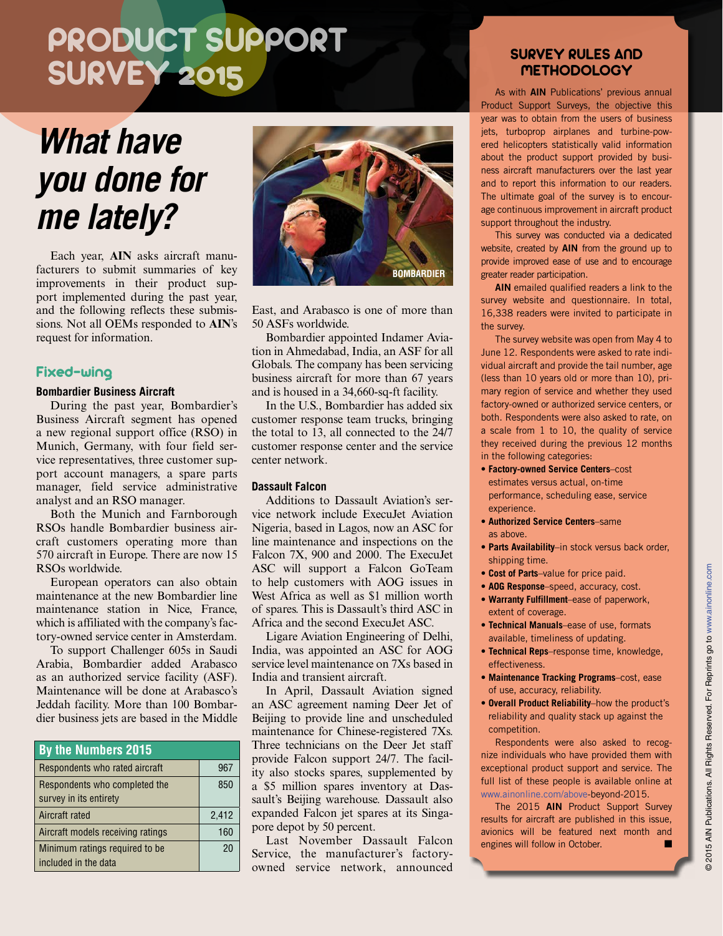# *What have you done for me lately?*

Each year, **AIN** asks aircraft manufacturers to submit summaries of key improvements in their product support implemented during the past year, and the following reflects these submissions. Not all OEMs responded to **AIN**'s request for information.

### Fixed-wing

#### **Bombardier Business Aircraft**

During the past year, Bombardier's Business Aircraft segment has opened a new regional support office (RSO) in Munich, Germany, with four field service representatives, three customer support account managers, a spare parts manager, field service administrative analyst and an RSO manager.

Both the Munich and Farnborough RSOs handle Bombardier business aircraft customers operating more than 570 aircraft in Europe. There are now 15 RSOs worldwide.

European operators can also obtain maintenance at the new Bombardier line maintenance station in Nice, France, which is affiliated with the company's factory-owned service center in Amsterdam.

To support Challenger 605s in Saudi Arabia, Bombardier added Arabasco as an authorized service facility (ASF). Maintenance will be done at Arabasco's Jeddah facility. More than 100 Bombardier business jets are based in the Middle

| <b>By the Numbers 2015</b>        |       |  |  |  |
|-----------------------------------|-------|--|--|--|
| Respondents who rated aircraft    | 967   |  |  |  |
| Respondents who completed the     | 850   |  |  |  |
| survey in its entirety            |       |  |  |  |
| Aircraft rated                    | 2,412 |  |  |  |
| Aircraft models receiving ratings | 160   |  |  |  |
| Minimum ratings required to be    | 20    |  |  |  |
| included in the data              |       |  |  |  |



East, and Arabasco is one of more than 50 ASFs worldwide.

Bombardier appointed Indamer Aviation in Ahmedabad, India, an ASF for all Globals. The company has been servicing business aircraft for more than 67 years and is housed in a 34,660-sq-ft facility.

In the U.S., Bombardier has added six customer response team trucks, bringing the total to 13, all connected to the 24/7 customer response center and the service center network.

#### **Dassault Falcon**

Additions to Dassault Aviation's service network include ExecuJet Aviation Nigeria, based in Lagos, now an ASC for line maintenance and inspections on the Falcon 7X, 900 and 2000. The ExecuJet ASC will support a Falcon GoTeam to help customers with AOG issues in West Africa as well as \$1 million worth of spares. This is Dassault's third ASC in Africa and the second ExecuJet ASC.

Ligare Aviation Engineering of Delhi, India, was appointed an ASC for AOG service level maintenance on 7Xs based in India and transient aircraft.

In April, Dassault Aviation signed an ASC agreement naming Deer Jet of Beijing to provide line and unscheduled maintenance for Chinese-registered 7Xs. Three technicians on the Deer Jet staff provide Falcon support 24/7. The facility also stocks spares, supplemented by a \$5 million spares inventory at Dassault's Beijing warehouse. Dassault also expanded Falcon jet spares at its Singapore depot by 50 percent.

Last November Dassault Falcon Service, the manufacturer's factoryowned service network, announced

### SURVEY RULES AND **METHODOLOGY**

As with AIN Publications' previous annual Product Support Surveys, the objective this year was to obtain from the users of business jets, turboprop airplanes and turbine-powered helicopters statistically valid information about the product support provided by business aircraft manufacturers over the last year and to report this information to our readers. The ultimate goal of the survey is to encourage continuous improvement in aircraft product support throughout the industry.

This survey was conducted via a dedicated website, created by **AIN** from the ground up to provide improved ease of use and to encourage greater reader participation.

AIN emailed qualified readers a link to the survey website and questionnaire. In total, 16,338 readers were invited to participate in the survey.

The survey website was open from May 4 to June 12. Respondents were asked to rate individual aircraft and provide the tail number, age (less than 10 years old or more than 10), primary region of service and whether they used factory-owned or authorized service centers, or both. Respondents were also asked to rate, on a scale from 1 to 10, the quality of service they received during the previous 12 months in the following categories:

- **Factory-owned Service Centers**–cost estimates versus actual, on-time performance, scheduling ease, service experience.
- **Authorized Service Centers**–same as above.
- **Parts Availability**–in stock versus back order, shipping time.
- **Cost of Parts**–value for price paid.
- **AOG Response**–speed, accuracy, cost.
- **Warranty Fulfillment**–ease of paperwork, extent of coverage.
- **Technical Manuals**–ease of use, formats available, timeliness of updating.
- **Technical Reps**–response time, knowledge, effectiveness.
- **Maintenance Tracking Programs**–cost, ease of use, accuracy, reliability.
- **Overall Product Reliability**–how the product's reliability and quality stack up against the competition.

Respondents were also asked to recognize individuals who have provided them with exceptional product support and service. The full list of these people is available online at [www.ainonline.com/above-](www.ainonline.com/above)beyond-2015.

The 2015 AIN Product Support Survey results for aircraft are published in this issue, avionics will be featured next month and engines will follow in October.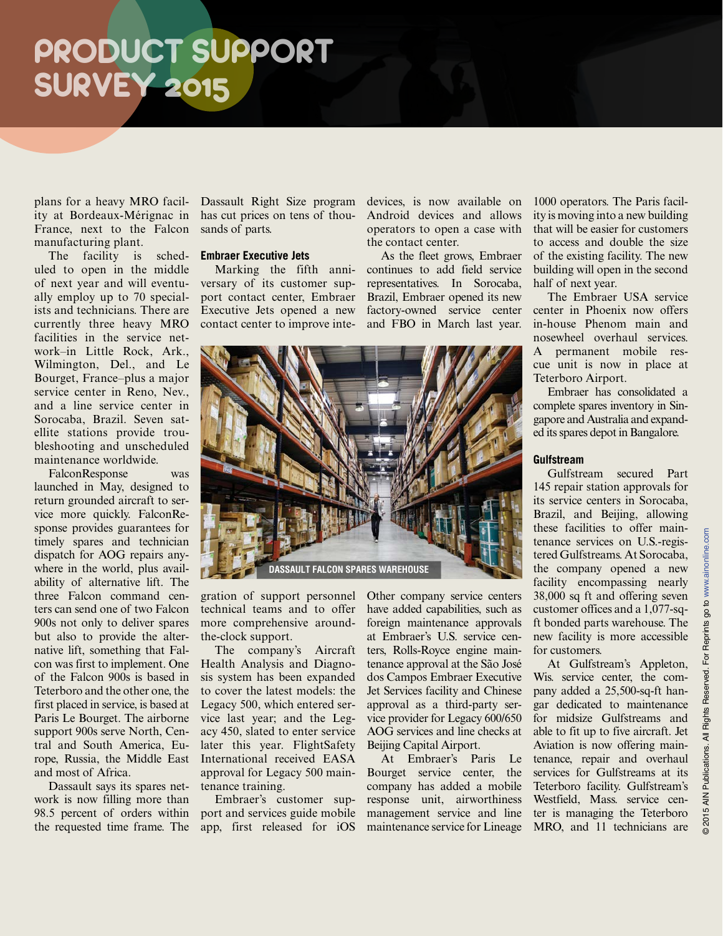plans for a heavy MRO facility at Bordeaux-Mérignac in France, next to the Falcon manufacturing plant.

The facility is scheduled to open in the middle of next year and will eventually employ up to 70 specialists and technicians. There are currently three heavy MRO facilities in the service network–in Little Rock, Ark., Wilmington, Del., and Le Bourget, France–plus a major service center in Reno, Nev., and a line service center in Sorocaba, Brazil. Seven satellite stations provide troubleshooting and unscheduled maintenance worldwide.

FalconResponse was launched in May, designed to return grounded aircraft to service more quickly. FalconResponse provides guarantees for timely spares and technician dispatch for AOG repairs anywhere in the world, plus availability of alternative lift. The three Falcon command centers can send one of two Falcon 900s not only to deliver spares but also to provide the alternative lift, something that Falcon was first to implement. One of the Falcon 900s is based in Teterboro and the other one, the first placed in service, is based at Paris Le Bourget. The airborne support 900s serve North, Central and South America, Europe, Russia, the Middle East and most of Africa.

Dassault says its spares network is now filling more than 98.5 percent of orders within the requested time frame. The

Dassault Right Size program has cut prices on tens of thousands of parts.

#### **Embraer Executive Jets**

Marking the fifth anniversary of its customer support contact center, Embraer Executive Jets opened a new contact center to improve intedevices, is now available on Android devices and allows operators to open a case with the contact center.

As the fleet grows, Embraer continues to add field service representatives. In Sorocaba, Brazil, Embraer opened its new factory-owned service center and FBO in March last year.



gration of support personnel technical teams and to offer more comprehensive aroundthe-clock support.

The company's Aircraft Health Analysis and Diagnosis system has been expanded to cover the latest models: the Legacy 500, which entered service last year; and the Legacy 450, slated to enter service later this year. FlightSafety International received EASA approval for Legacy 500 maintenance training.

Embraer's customer support and services guide mobile app, first released for iOS Other company service centers have added capabilities, such as foreign maintenance approvals at Embraer's U.S. service centers, Rolls-Royce engine maintenance approval at the São José dos Campos Embraer Executive Jet Services facility and Chinese approval as a third-party service provider for Legacy 600/650 AOG services and line checks at Beijing Capital Airport.

At Embraer's Paris Le Bourget service center, the company has added a mobile response unit, airworthiness management service and line maintenance service for Lineage

1000 operators. The Paris facility is moving into a new building that will be easier for customers to access and double the size of the existing facility. The new building will open in the second half of next year.

The Embraer USA service center in Phoenix now offers in-house Phenom main and nosewheel overhaul services. A permanent mobile rescue unit is now in place at Teterboro Airport.

Embraer has consolidated a complete spares inventory in Singapore and Australia and expanded its spares depot in Bangalore.

#### **Gulfstream**

Gulfstream secured Part 145 repair station approvals for its service centers in Sorocaba, Brazil, and Beijing, allowing these facilities to offer maintenance services on U.S.-registered Gulfstreams. At Sorocaba, the company opened a new facility encompassing nearly 38,000 sq ft and offering seven customer offices and a 1,077-sqft bonded parts warehouse. The new facility is more accessible for customers.

At Gulfstream's Appleton, Wis. service center, the company added a 25,500-sq-ft hangar dedicated to maintenance for midsize Gulfstreams and able to fit up to five aircraft. Jet Aviation is now offering maintenance, repair and overhaul services for Gulfstreams at its Teterboro facility. Gulfstream's Westfield, Mass. service center is managing the Teterboro MRO, and 11 technicians are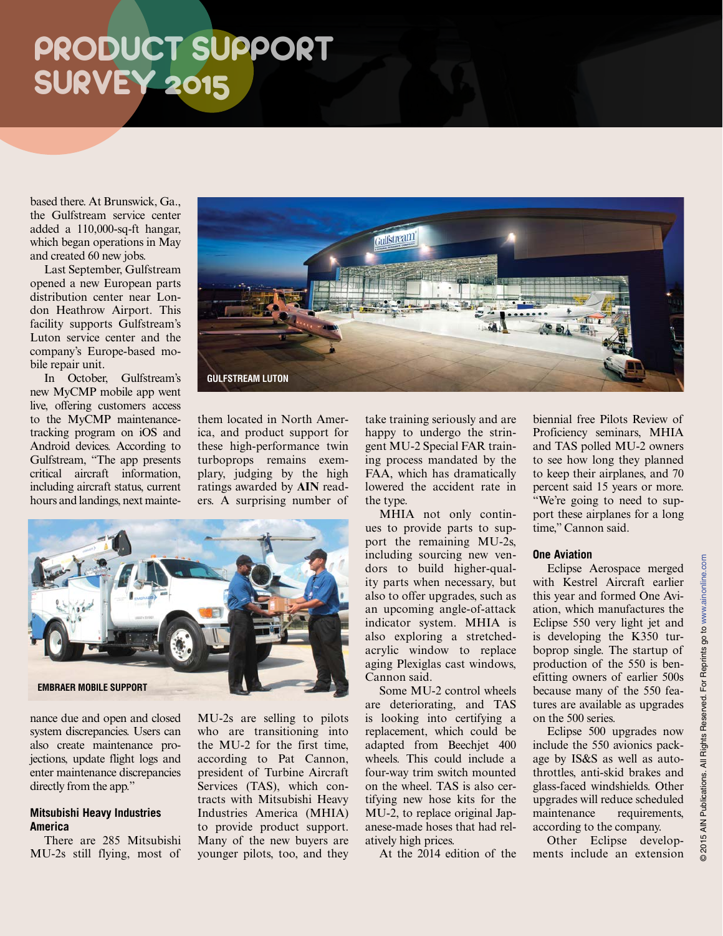based there. At Brunswick, Ga., the Gulfstream service center added a 110,000-sq-ft hangar, which began operations in May and created 60 new jobs.

Last September, Gulfstream opened a new European parts distribution center near London Heathrow Airport. This facility supports Gulfstream's Luton service center and the company's Europe-based mobile repair unit.

In October, Gulfstream's new MyCMP mobile app went live, offering customers access to the MyCMP maintenancetracking program on iOS and Android devices. According to Gulfstream, "The app presents critical aircraft information, including aircraft status, current hours and landings, next mainte-



them located in North America, and product support for these high-performance twin turboprops remains exemplary, judging by the high ratings awarded by **AIN** readers. A surprising number of



nance due and open and closed system discrepancies. Users can also create maintenance projections, update flight logs and enter maintenance discrepancies directly from the app."

### **Mitsubishi Heavy Industries America**

There are 285 Mitsubishi MU-2s still flying, most of MU-2s are selling to pilots who are transitioning into the MU-2 for the first time, according to Pat Cannon, president of Turbine Aircraft Services (TAS), which contracts with Mitsubishi Heavy Industries America (MHIA) to provide product support. Many of the new buyers are younger pilots, too, and they take training seriously and are happy to undergo the stringent MU-2 Special FAR training process mandated by the FAA, which has dramatically lowered the accident rate in the type.

MHIA not only continues to provide parts to support the remaining MU-2s, including sourcing new vendors to build higher-quality parts when necessary, but also to offer upgrades, such as an upcoming angle-of-attack indicator system. MHIA is also exploring a stretchedacrylic window to replace aging Plexiglas cast windows, Cannon said.

Some MU-2 control wheels are deteriorating, and TAS is looking into certifying a replacement, which could be adapted from Beechjet 400 wheels. This could include a four-way trim switch mounted on the wheel. TAS is also certifying new hose kits for the MU-2, to replace original Japanese-made hoses that had relatively high prices.

At the 2014 edition of the

biennial free Pilots Review of Proficiency seminars, MHIA and TAS polled MU-2 owners to see how long they planned to keep their airplanes, and 70 percent said 15 years or more. "We're going to need to support these airplanes for a long time," Cannon said.

#### **One Aviation**

Eclipse Aerospace merged with Kestrel Aircraft earlier this year and formed One Aviation, which manufactures the Eclipse 550 very light jet and is developing the K350 turboprop single. The startup of production of the 550 is benefitting owners of earlier 500s because many of the 550 features are available as upgrades on the 500 series.

Eclipse 500 upgrades now include the 550 avionics package by IS&S as well as autothrottles, anti-skid brakes and glass-faced windshields. Other upgrades will reduce scheduled maintenance requirements, according to the company.

Other Eclipse developments include an extension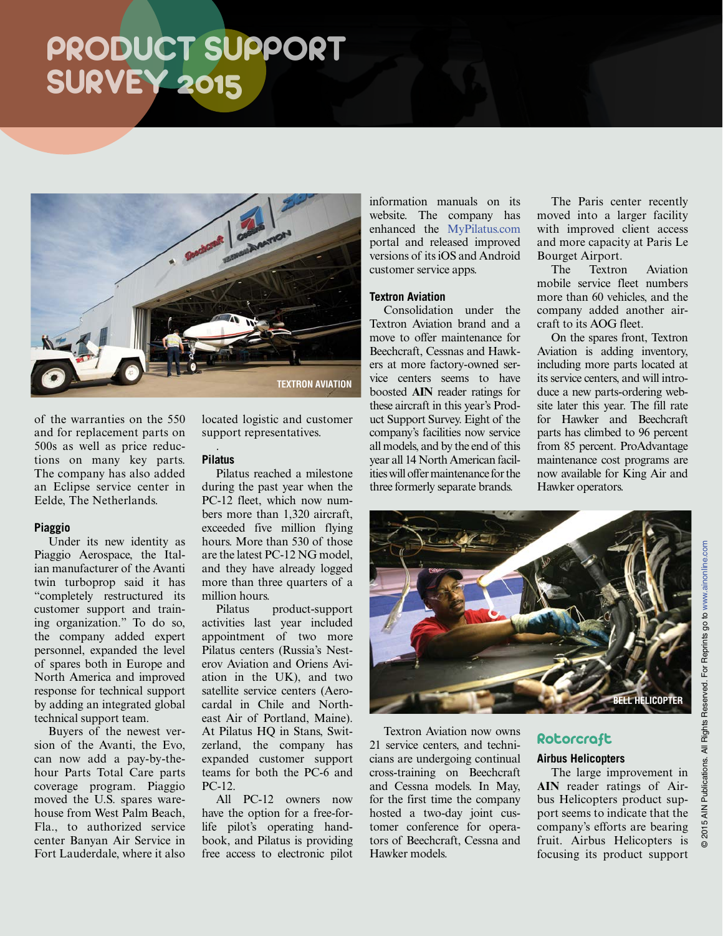

of the warranties on the 550 and for replacement parts on 500s as well as price reductions on many key parts. The company has also added an Eclipse service center in Eelde, The Netherlands.

#### **Piaggio**

Under its new identity as Piaggio Aerospace, the Italian manufacturer of the Avanti twin turboprop said it has "completely restructured its customer support and training organization." To do so, the company added expert personnel, expanded the level of spares both in Europe and North America and improved response for technical support by adding an integrated global technical support team.

Buyers of the newest version of the Avanti, the Evo, can now add a pay-by-thehour Parts Total Care parts coverage program. Piaggio moved the U.S. spares warehouse from West Palm Beach, Fla., to authorized service center Banyan Air Service in Fort Lauderdale, where it also

located logistic and customer support representatives. .

### **Pilatus**

Pilatus reached a milestone during the past year when the PC-12 fleet, which now numbers more than 1,320 aircraft, exceeded five million flying hours. More than 530 of those are the latest PC-12 NG model, and they have already logged more than three quarters of a million hours.

Pilatus product-support activities last year included appointment of two more Pilatus centers (Russia's Nesterov Aviation and Oriens Aviation in the UK), and two satellite service centers (Aerocardal in Chile and Northeast Air of Portland, Maine). At Pilatus HQ in Stans, Switzerland, the company has expanded customer support teams for both the PC-6 and PC-12.

All PC-12 owners now have the option for a free-forlife pilot's operating handbook, and Pilatus is providing free access to electronic pilot information manuals on its website. The company has enhanced the [MyPilatus.com](http://MyPilatus.com) portal and released improved versions of its iOS and Android customer service apps.

#### **Textron Aviation**

Consolidation under the Textron Aviation brand and a move to offer maintenance for Beechcraft, Cessnas and Hawkers at more factory-owned service centers seems to have boosted **AIN** reader ratings for these aircraft in this year's Product Support Survey. Eight of the company's facilities now service all models, and by the end of this year all 14 North American facilities will offer maintenance for the three formerly separate brands.

The Paris center recently moved into a larger facility with improved client access and more capacity at Paris Le Bourget Airport.

The Textron Aviation mobile service fleet numbers more than 60 vehicles, and the company added another aircraft to its AOG fleet.

On the spares front, Textron Aviation is adding inventory, including more parts located at its service centers, and will introduce a new parts-ordering website later this year. The fill rate for Hawker and Beechcraft parts has climbed to 96 percent from 85 percent. ProAdvantage maintenance cost programs are now available for King Air and Hawker operators.



Textron Aviation now owns 21 service centers, and technicians are undergoing continual cross-training on Beechcraft and Cessna models. In May, for the first time the company hosted a two-day joint customer conference for operators of Beechcraft, Cessna and Hawker models.

### Rotorcraft

### **Airbus Helicopters**

The large improvement in **AIN** reader ratings of Airbus Helicopters product support seems to indicate that the company's efforts are bearing fruit. Airbus Helicopters is focusing its product support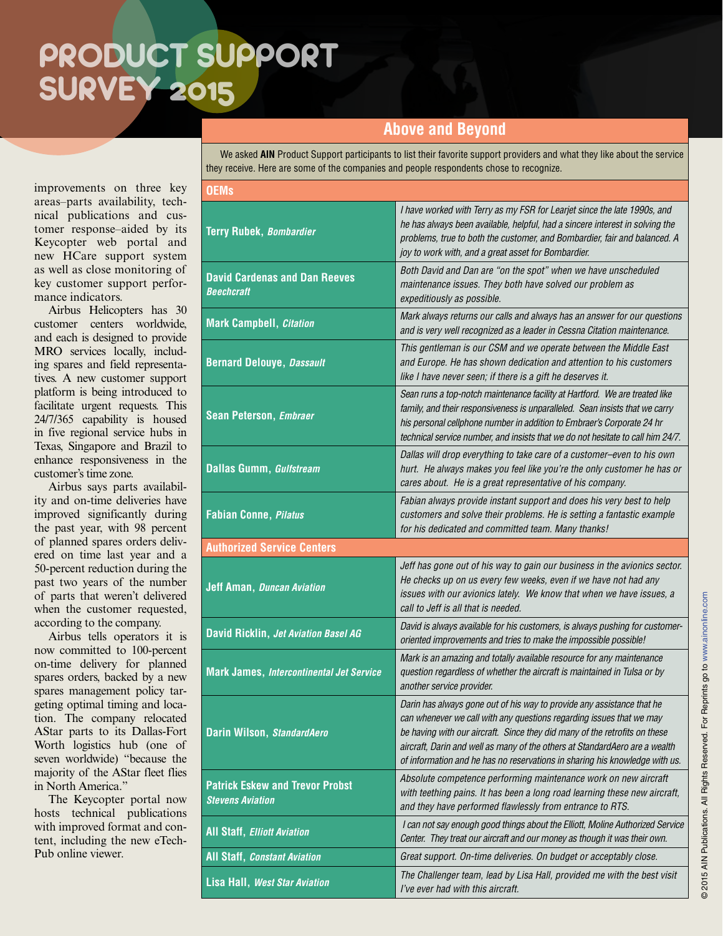### **Above and Beyond**

We asked **AIN** Product Support participants to list their favorite support providers and what they like about the service they receive. Here are some of the companies and people respondents chose to recognize.

improvements on three key areas–parts availability, technical publications and customer response–aided by its Keycopter web portal and new HCare support system as well as close monitoring of key customer support performance indicators.

Airbus Helicopters has 30 customer centers worldwide, and each is designed to provide MRO services locally, including spares and field representatives. A new customer support platform is being introduced to facilitate urgent requests. This 24/7/365 capability is housed in five regional service hubs in Texas, Singapore and Brazil to enhance responsiveness in the customer's time zone.

Airbus says parts availability and on-time deliveries have improved significantly during the past year, with 98 percent of planned spares orders delivered on time last year and a 50-percent reduction during the past two years of the number of parts that weren't delivered when the customer requested, according to the company.

Airbus tells operators it is now committed to 100-percent on-time delivery for planned spares orders, backed by a new spares management policy targeting optimal timing and location. The company relocated AStar parts to its Dallas-Fort Worth logistics hub (one of seven worldwide) "because the majority of the AStar fleet flies in North America."

The Keycopter portal now hosts technical publications with improved format and content, including the new eTech-Pub online viewer.

| <b>OEMs</b>                                                       |                                                                                                                                                                                                                                                                                                                                                                                            |  |  |  |
|-------------------------------------------------------------------|--------------------------------------------------------------------------------------------------------------------------------------------------------------------------------------------------------------------------------------------------------------------------------------------------------------------------------------------------------------------------------------------|--|--|--|
| <b>Terry Rubek, Bombardier</b>                                    | I have worked with Terry as my FSR for Learjet since the late 1990s, and<br>he has always been available, helpful, had a sincere interest in solving the<br>problems, true to both the customer, and Bombardier, fair and balanced. A<br>joy to work with, and a great asset for Bombardier.                                                                                               |  |  |  |
| <b>David Cardenas and Dan Reeves</b><br><b>Beechcraft</b>         | Both David and Dan are "on the spot" when we have unscheduled<br>maintenance issues. They both have solved our problem as<br>expeditiously as possible.                                                                                                                                                                                                                                    |  |  |  |
| <b>Mark Campbell, Citation</b>                                    | Mark always returns our calls and always has an answer for our questions<br>and is very well recognized as a leader in Cessna Citation maintenance.                                                                                                                                                                                                                                        |  |  |  |
| <b>Bernard Delouye, Dassault</b>                                  | This gentleman is our CSM and we operate between the Middle East<br>and Europe. He has shown dedication and attention to his customers<br>like I have never seen; if there is a gift he deserves it.                                                                                                                                                                                       |  |  |  |
| <b>Sean Peterson, Embraer</b>                                     | Sean runs a top-notch maintenance facility at Hartford. We are treated like<br>family, and their responsiveness is unparalleled. Sean insists that we carry<br>his personal cellphone number in addition to Embraer's Corporate 24 hr<br>technical service number, and insists that we do not hesitate to call him 24/7.                                                                   |  |  |  |
| <b>Dallas Gumm, Gulfstream</b>                                    | Dallas will drop everything to take care of a customer-even to his own<br>hurt. He always makes you feel like you're the only customer he has or<br>cares about. He is a great representative of his company.                                                                                                                                                                              |  |  |  |
| <b>Fabian Conne, Pilatus</b>                                      | Fabian always provide instant support and does his very best to help<br>customers and solve their problems. He is setting a fantastic example<br>for his dedicated and committed team. Many thanks!                                                                                                                                                                                        |  |  |  |
| <b>Authorized Service Centers</b>                                 |                                                                                                                                                                                                                                                                                                                                                                                            |  |  |  |
| <b>Jeff Aman, Duncan Aviation</b>                                 | Jeff has gone out of his way to gain our business in the avionics sector.<br>He checks up on us every few weeks, even if we have not had any<br>issues with our avionics lately. We know that when we have issues, a<br>call to Jeff is all that is needed.                                                                                                                                |  |  |  |
| David Ricklin, Jet Aviation Basel AG                              | David is always available for his customers, is always pushing for customer-<br>oriented improvements and tries to make the impossible possible!                                                                                                                                                                                                                                           |  |  |  |
| <b>Mark James, Intercontinental Jet Service</b>                   | Mark is an amazing and totally available resource for any maintenance<br>question regardless of whether the aircraft is maintained in Tulsa or by<br>another service provider.                                                                                                                                                                                                             |  |  |  |
| Darin Wilson, StandardAero                                        | Darin has always gone out of his way to provide any assistance that he<br>can whenever we call with any questions regarding issues that we may<br>be having with our aircraft. Since they did many of the retrofits on these<br>aircraft, Darin and well as many of the others at StandardAero are a wealth<br>of information and he has no reservations in sharing his knowledge with us. |  |  |  |
| <b>Patrick Eskew and Trevor Probst</b><br><b>Stevens Aviation</b> | Absolute competence performing maintenance work on new aircraft<br>with teething pains. It has been a long road learning these new aircraft,<br>and they have performed flawlessly from entrance to RTS.                                                                                                                                                                                   |  |  |  |
| <b>All Staff, Elliott Aviation</b>                                | I can not say enough good things about the Elliott, Moline Authorized Service<br>Center. They treat our aircraft and our money as though it was their own.                                                                                                                                                                                                                                 |  |  |  |
| <b>All Staff, Constant Aviation</b>                               | Great support. On-time deliveries. On budget or acceptably close.                                                                                                                                                                                                                                                                                                                          |  |  |  |
| <b>Lisa Hall, West Star Aviation</b>                              | The Challenger team, lead by Lisa Hall, provided me with the best visit<br>I've ever had with this aircraft.                                                                                                                                                                                                                                                                               |  |  |  |